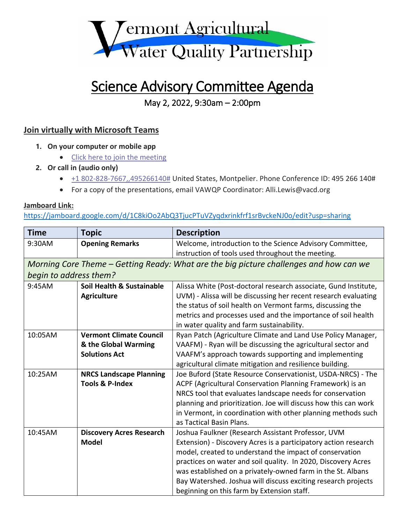

## Science Advisory Committee Agenda

## May 2, 2022, 9:30am – 2:00pm

## **Join virtually with Microsoft Teams**

- **1. On your computer or mobile app**
	- [Click here to join the meeting](https://teams.microsoft.com/l/meetup-join/19%3ameeting_MzkyOTkyMGYtMWU3Ny00YzcwLTgzN2QtYjNlMTAwZDlkY2Yx%40thread.v2/0?context=%7b%22Tid%22%3a%2220b4933b-baad-433c-9c02-70edcc7559c6%22%2c%22Oid%22%3a%22b3fcb7f2-d423-45e9-b60d-d413bdbb7e3d%22%7d)
- **2. Or call in (audio only)**
	- $\bullet$   $\pm$  1 802-828-7667,,495266140# United States, Montpelier. Phone Conference ID: 495 266 140#
	- For a copy of the presentations, email VAWQP Coordinator: Alli.Lewis@vacd.org

## **Jamboard Link:**

<https://jamboard.google.com/d/1C8kiOo2AbQ3TjucPTuVZyqdxrinkfrf1srBvckeNJ0o/edit?usp=sharing>

| <b>Time</b>                                                                            | <b>Topic</b>                    | <b>Description</b>                                              |  |
|----------------------------------------------------------------------------------------|---------------------------------|-----------------------------------------------------------------|--|
| 9:30AM                                                                                 | <b>Opening Remarks</b>          | Welcome, introduction to the Science Advisory Committee,        |  |
|                                                                                        |                                 | instruction of tools used throughout the meeting.               |  |
| Morning Core Theme – Getting Ready: What are the big picture challenges and how can we |                                 |                                                                 |  |
| begin to address them?                                                                 |                                 |                                                                 |  |
| 9:45AM                                                                                 | Soil Health & Sustainable       | Alissa White (Post-doctoral research associate, Gund Institute, |  |
|                                                                                        | <b>Agriculture</b>              | UVM) - Alissa will be discussing her recent research evaluating |  |
|                                                                                        |                                 | the status of soil health on Vermont farms, discussing the      |  |
|                                                                                        |                                 | metrics and processes used and the importance of soil health    |  |
|                                                                                        |                                 | in water quality and farm sustainability.                       |  |
| 10:05AM                                                                                | <b>Vermont Climate Council</b>  | Ryan Patch (Agriculture Climate and Land Use Policy Manager,    |  |
|                                                                                        | & the Global Warming            | VAAFM) - Ryan will be discussing the agricultural sector and    |  |
|                                                                                        | <b>Solutions Act</b>            | VAAFM's approach towards supporting and implementing            |  |
|                                                                                        |                                 | agricultural climate mitigation and resilience building.        |  |
| 10:25AM                                                                                | <b>NRCS Landscape Planning</b>  | Joe Buford (State Resource Conservationist, USDA-NRCS) - The    |  |
|                                                                                        | <b>Tools &amp; P-Index</b>      | ACPF (Agricultural Conservation Planning Framework) is an       |  |
|                                                                                        |                                 | NRCS tool that evaluates landscape needs for conservation       |  |
|                                                                                        |                                 | planning and prioritization. Joe will discuss how this can work |  |
|                                                                                        |                                 | in Vermont, in coordination with other planning methods such    |  |
|                                                                                        |                                 | as Tactical Basin Plans.                                        |  |
| 10:45AM                                                                                | <b>Discovery Acres Research</b> | Joshua Faulkner (Research Assistant Professor, UVM              |  |
|                                                                                        | <b>Model</b>                    | Extension) - Discovery Acres is a participatory action research |  |
|                                                                                        |                                 | model, created to understand the impact of conservation         |  |
|                                                                                        |                                 | practices on water and soil quality. In 2020, Discovery Acres   |  |
|                                                                                        |                                 | was established on a privately-owned farm in the St. Albans     |  |
|                                                                                        |                                 | Bay Watershed. Joshua will discuss exciting research projects   |  |
|                                                                                        |                                 | beginning on this farm by Extension staff.                      |  |